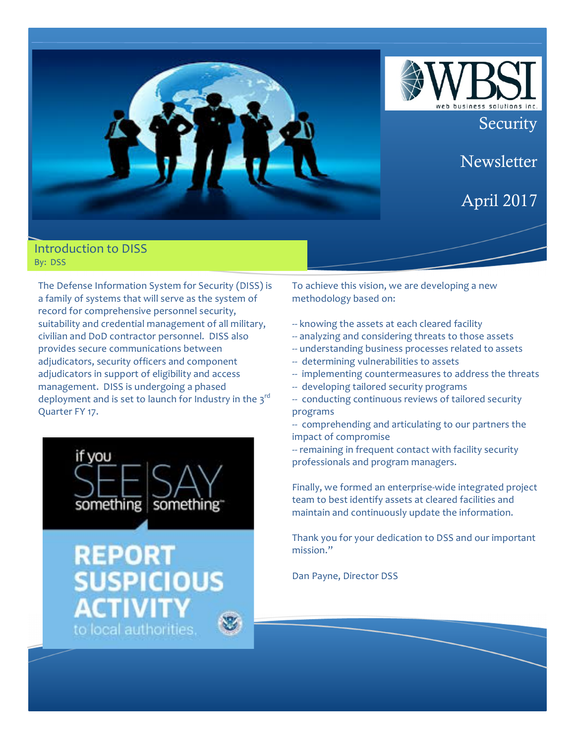

### Introduction to DISS By: DSS

The Defense Information System for Security (DISS) is a family of systems that will serve as the system of record for comprehensive personnel security, suitability and credential management of all military, civilian and DoD contractor personnel. DISS also provides secure communications between adjudicators, security officers and component adjudicators in support of eligibility and access management. DISS is undergoing a phased deployment and is set to launch for Industry in the  $3^{rd}$ Quarter FY 17.



# **REPOR** SUSPICIO to local authorities

To achieve this vision, we are developing a new methodology based on:

- -- knowing the assets at each cleared facility
- -- analyzing and considering threats to those assets
- -- understanding business processes related to assets
- -- determining vulnerabilities to assets
- -- implementing countermeasures to address the threats
- -- developing tailored security programs
- -- conducting continuous reviews of tailored security programs
- -- comprehending and articulating to our partners the impact of compromise
- -- remaining in frequent contact with facility security professionals and program managers.

Finally, we formed an enterprise-wide integrated project team to best identify assets at cleared facilities and maintain and continuously update the information.

Thank you for your dedication to DSS and our important mission."

Dan Payne, Director DSS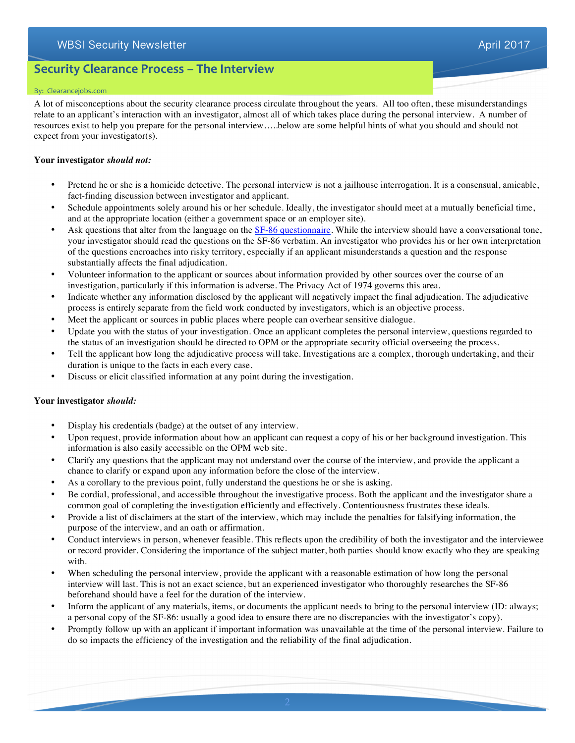# WBSI Security Newsletter April 2017

# **Security Clearance Process - The Interview**

#### By: Clearancejobs.com

A lot of misconceptions about the security clearance process circulate throughout the years. All too often, these misunderstandings relate to an applicant's interaction with an investigator, almost all of which takes place during the personal interview. A number of resources exist to help you prepare for the personal interview…..below are some helpful hints of what you should and should not expect from your investigator(s).

#### **Your investigator** *should not:*

- Pretend he or she is a homicide detective. The personal interview is not a jailhouse interrogation. It is a consensual, amicable, fact-finding discussion between investigator and applicant.
- Schedule appointments solely around his or her schedule. Ideally, the investigator should meet at a mutually beneficial time, and at the appropriate location (either a government space or an employer site).
- Ask questions that alter from the language on the SF-86 questionnaire. While the interview should have a conversational tone, your investigator should read the questions on the SF-86 verbatim. An investigator who provides his or her own interpretation of the questions encroaches into risky territory, especially if an applicant misunderstands a question and the response substantially affects the final adjudication.
- Volunteer information to the applicant or sources about information provided by other sources over the course of an investigation, particularly if this information is adverse. The Privacy Act of 1974 governs this area.
- Indicate whether any information disclosed by the applicant will negatively impact the final adjudication. The adjudicative process is entirely separate from the field work conducted by investigators, which is an objective process.
- Meet the applicant or sources in public places where people can overhear sensitive dialogue.
- Update you with the status of your investigation. Once an applicant completes the personal interview, questions regarded to the status of an investigation should be directed to OPM or the appropriate security official overseeing the process.
- Tell the applicant how long the adjudicative process will take. Investigations are a complex, thorough undertaking, and their duration is unique to the facts in each every case.
- Discuss or elicit classified information at any point during the investigation.

#### **Your investigator** *should:*

- Display his credentials (badge) at the outset of any interview.
- Upon request, provide information about how an applicant can request a copy of his or her background investigation. This information is also easily accessible on the OPM web site.
- Clarify any questions that the applicant may not understand over the course of the interview, and provide the applicant a chance to clarify or expand upon any information before the close of the interview.
- As a corollary to the previous point, fully understand the questions he or she is asking.
- Be cordial, professional, and accessible throughout the investigative process. Both the applicant and the investigator share a common goal of completing the investigation efficiently and effectively. Contentiousness frustrates these ideals.
- Provide a list of disclaimers at the start of the interview, which may include the penalties for falsifying information, the purpose of the interview, and an oath or affirmation.
- Conduct interviews in person, whenever feasible. This reflects upon the credibility of both the investigator and the interviewee or record provider. Considering the importance of the subject matter, both parties should know exactly who they are speaking with.
- When scheduling the personal interview, provide the applicant with a reasonable estimation of how long the personal interview will last. This is not an exact science, but an experienced investigator who thoroughly researches the SF-86 beforehand should have a feel for the duration of the interview.
- Inform the applicant of any materials, items, or documents the applicant needs to bring to the personal interview (ID: always; a personal copy of the SF-86: usually a good idea to ensure there are no discrepancies with the investigator's copy).
- Promptly follow up with an applicant if important information was unavailable at the time of the personal interview. Failure to do so impacts the efficiency of the investigation and the reliability of the final adjudication.